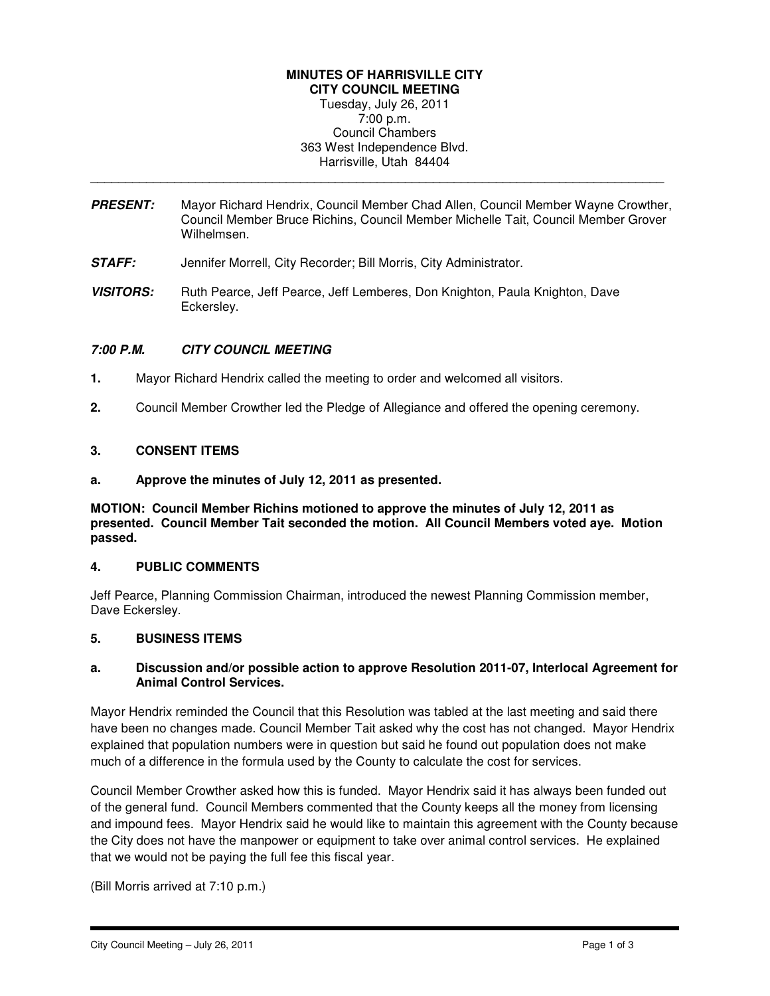# **MINUTES OF HARRISVILLE CITY**

**CITY COUNCIL MEETING**  Tuesday, July 26, 2011 7:00 p.m. Council Chambers 363 West Independence Blvd. Harrisville, Utah 84404

**PRESENT:** Mayor Richard Hendrix, Council Member Chad Allen, Council Member Wayne Crowther, Council Member Bruce Richins, Council Member Michelle Tait, Council Member Grover Wilhelmsen.

\_\_\_\_\_\_\_\_\_\_\_\_\_\_\_\_\_\_\_\_\_\_\_\_\_\_\_\_\_\_\_\_\_\_\_\_\_\_\_\_\_\_\_\_\_\_\_\_\_\_\_\_\_\_\_\_\_\_\_\_\_\_\_\_\_\_\_\_\_\_\_\_\_\_\_\_\_\_\_\_\_\_

- **STAFF:** Jennifer Morrell, City Recorder; Bill Morris, City Administrator.
- **VISITORS:** Ruth Pearce, Jeff Pearce, Jeff Lemberes, Don Knighton, Paula Knighton, Dave Eckersley.

## **7:00 P.M. CITY COUNCIL MEETING**

- **1.** Mayor Richard Hendrix called the meeting to order and welcomed all visitors.
- **2.** Council Member Crowther led the Pledge of Allegiance and offered the opening ceremony.

### **3. CONSENT ITEMS**

**a. Approve the minutes of July 12, 2011 as presented.** 

**MOTION: Council Member Richins motioned to approve the minutes of July 12, 2011 as presented. Council Member Tait seconded the motion. All Council Members voted aye. Motion passed.** 

#### **4. PUBLIC COMMENTS**

Jeff Pearce, Planning Commission Chairman, introduced the newest Planning Commission member, Dave Eckersley.

## **5. BUSINESS ITEMS**

### **a. Discussion and/or possible action to approve Resolution 2011-07, Interlocal Agreement for Animal Control Services.**

Mayor Hendrix reminded the Council that this Resolution was tabled at the last meeting and said there have been no changes made. Council Member Tait asked why the cost has not changed. Mayor Hendrix explained that population numbers were in question but said he found out population does not make much of a difference in the formula used by the County to calculate the cost for services.

Council Member Crowther asked how this is funded. Mayor Hendrix said it has always been funded out of the general fund. Council Members commented that the County keeps all the money from licensing and impound fees. Mayor Hendrix said he would like to maintain this agreement with the County because the City does not have the manpower or equipment to take over animal control services. He explained that we would not be paying the full fee this fiscal year.

(Bill Morris arrived at 7:10 p.m.)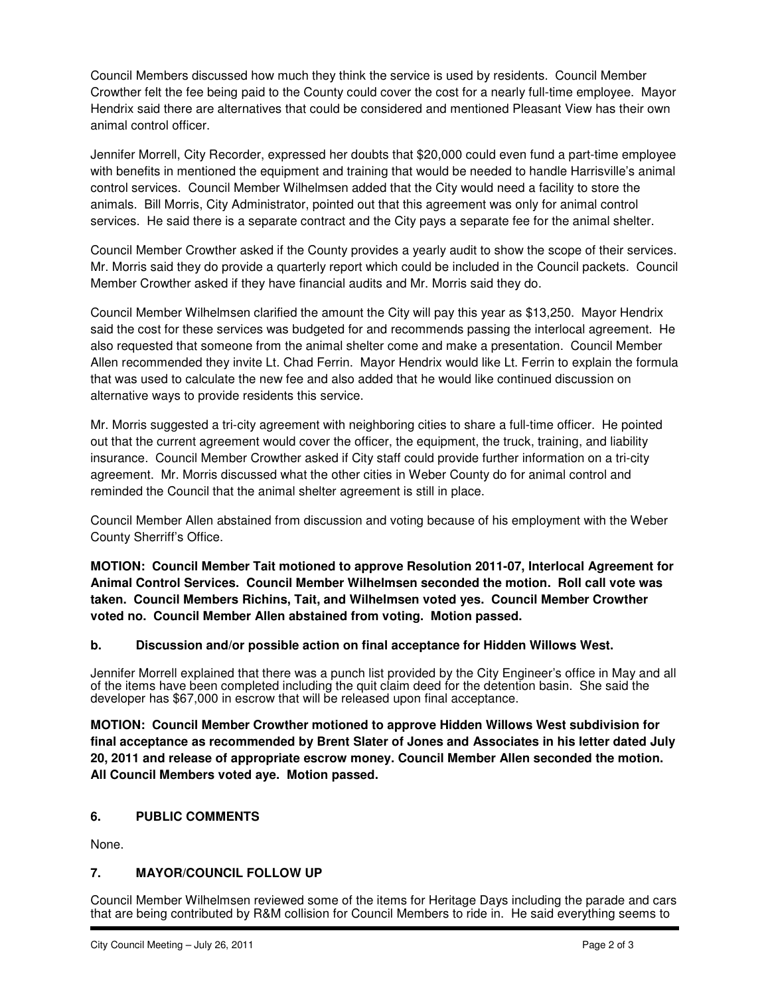Council Members discussed how much they think the service is used by residents. Council Member Crowther felt the fee being paid to the County could cover the cost for a nearly full-time employee. Mayor Hendrix said there are alternatives that could be considered and mentioned Pleasant View has their own animal control officer.

Jennifer Morrell, City Recorder, expressed her doubts that \$20,000 could even fund a part-time employee with benefits in mentioned the equipment and training that would be needed to handle Harrisville's animal control services. Council Member Wilhelmsen added that the City would need a facility to store the animals. Bill Morris, City Administrator, pointed out that this agreement was only for animal control services. He said there is a separate contract and the City pays a separate fee for the animal shelter.

Council Member Crowther asked if the County provides a yearly audit to show the scope of their services. Mr. Morris said they do provide a quarterly report which could be included in the Council packets. Council Member Crowther asked if they have financial audits and Mr. Morris said they do.

Council Member Wilhelmsen clarified the amount the City will pay this year as \$13,250. Mayor Hendrix said the cost for these services was budgeted for and recommends passing the interlocal agreement. He also requested that someone from the animal shelter come and make a presentation. Council Member Allen recommended they invite Lt. Chad Ferrin. Mayor Hendrix would like Lt. Ferrin to explain the formula that was used to calculate the new fee and also added that he would like continued discussion on alternative ways to provide residents this service.

Mr. Morris suggested a tri-city agreement with neighboring cities to share a full-time officer. He pointed out that the current agreement would cover the officer, the equipment, the truck, training, and liability insurance. Council Member Crowther asked if City staff could provide further information on a tri-city agreement. Mr. Morris discussed what the other cities in Weber County do for animal control and reminded the Council that the animal shelter agreement is still in place.

Council Member Allen abstained from discussion and voting because of his employment with the Weber County Sherriff's Office.

**MOTION: Council Member Tait motioned to approve Resolution 2011-07, Interlocal Agreement for Animal Control Services. Council Member Wilhelmsen seconded the motion. Roll call vote was taken. Council Members Richins, Tait, and Wilhelmsen voted yes. Council Member Crowther voted no. Council Member Allen abstained from voting. Motion passed.** 

## **b. Discussion and/or possible action on final acceptance for Hidden Willows West.**

Jennifer Morrell explained that there was a punch list provided by the City Engineer's office in May and all of the items have been completed including the quit claim deed for the detention basin. She said the developer has \$67,000 in escrow that will be released upon final acceptance.

**MOTION: Council Member Crowther motioned to approve Hidden Willows West subdivision for final acceptance as recommended by Brent Slater of Jones and Associates in his letter dated July 20, 2011 and release of appropriate escrow money. Council Member Allen seconded the motion. All Council Members voted aye. Motion passed.** 

## **6. PUBLIC COMMENTS**

None.

## **7. MAYOR/COUNCIL FOLLOW UP**

Council Member Wilhelmsen reviewed some of the items for Heritage Days including the parade and cars that are being contributed by R&M collision for Council Members to ride in. He said everything seems to